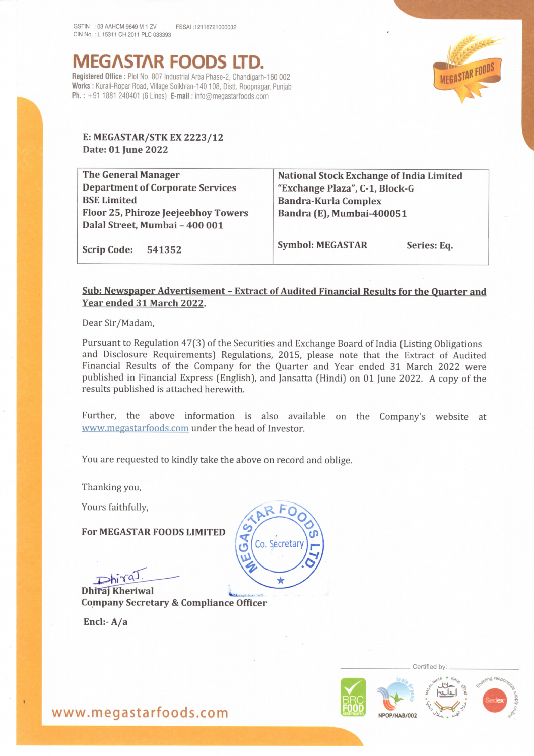MEG^ST^R FOODS LTD. Registered Office : Plot No. 807 Industrial Area Phase-2, Chandigarh-160 002 Works : Kurali-Ropar Road, Village Solkhian-140 108, Distt. Roopnagar, Punjab **Ph.**:  $+91$  1881 240401 (6 Lines) **E-mail**: info@megastarfoods.com



## E: MEGASTAR/STK EX 2223/12 Date: 01 June 2022

The General Manager Department of Corporate Services BSE Limited Floor 25, Phiroze |eejeebhoy Towers Dalal Street, Mumbai -400 001

National Stock Exchange of India Limited "Exchange Plaza", C-1, Block-G Bandra-Kurla Complex Bandra (E), Mumbai-400051

Scrip Code: 541352

Symbol: MEGASTAR Series: Eq.

## Sub: Newspaper Advertisement -Extract of Audited Financial Results for the Quarter and Year ended 31 March 2022.

Dear Sir/Madam,

Pursuant to Regulation 47(3) of the Securities and Exchange Board of India (Listing Obligations and Disclosure Requirements) Regulations, 2015, please note that the Extract of Audited Financial Results of the Company for the Quarter and Year ended 31 March 2022 were published in Financial Express (English), and Jansatta (Hindi) on 01 June 2022. A copy of the results published is attached herewith.

Further, the above information is also available on the Company's website at www.megastarfoods.com under the head of Investor.

You are requested to kindly take the above on record and oblige.

Thanking you,

Yours faithfully,

For MEGASTAR FOODS LIMITED

Dhiraj Kheriwal

Company Secretary & Compliance Officer

Encl:-A/a



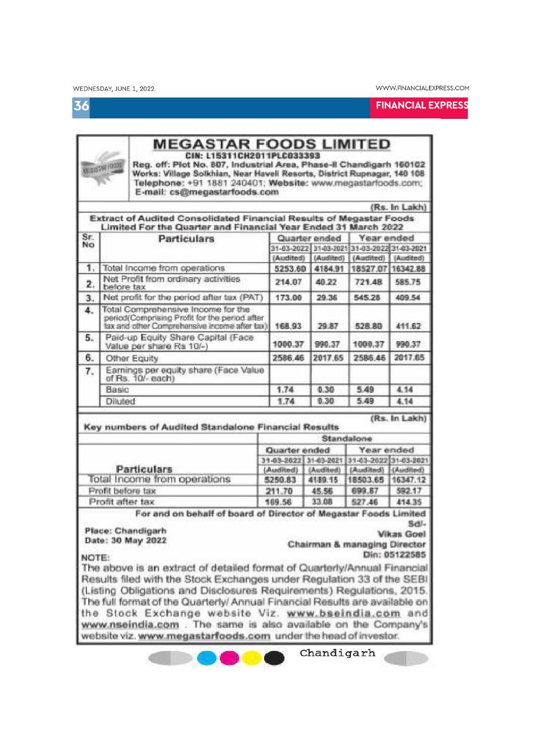36

**FINANCIAL EXPRESS** 

| <b>TICOLI NUTZIE PO</b> |                                                            | <b>MEGASTAR FOODS LIMITED</b><br>CIN: L15311CH2011PLC033393<br>Reg. off: Plot No. 807, Industrial Area, Phase-II Chandigarh 160102<br>Works: Village Solkhian, Near Haveli Resorts, District Rupnagar, 140 108<br>Telephone: +91 1881 240401; Website: www.megastarfoods.com;<br>E-mail: cs@megastarfoods.com |                  |                |                             |                                  |  |  |
|-------------------------|------------------------------------------------------------|---------------------------------------------------------------------------------------------------------------------------------------------------------------------------------------------------------------------------------------------------------------------------------------------------------------|------------------|----------------|-----------------------------|----------------------------------|--|--|
|                         |                                                            |                                                                                                                                                                                                                                                                                                               |                  |                |                             | (Rs. In Lakh)                    |  |  |
|                         |                                                            | Extract of Audited Consolidated Financial Results of Megastar Foods<br>Limited For the Quarter and Financial Year Ended 31 March 2022                                                                                                                                                                         |                  |                |                             |                                  |  |  |
| Sr.<br>No               | <b>Particulars</b>                                         |                                                                                                                                                                                                                                                                                                               |                  | Quarter ended  |                             | Year ended                       |  |  |
|                         |                                                            |                                                                                                                                                                                                                                                                                                               |                  | 31-03-2022     |                             | 31-03-2021 31-03-2022 31-03-2021 |  |  |
|                         |                                                            |                                                                                                                                                                                                                                                                                                               | (Audited)        | (Audited)      | (Audited)                   | (Audited)                        |  |  |
| 1.                      |                                                            | Total Income from operations                                                                                                                                                                                                                                                                                  | 5253.60          | 4184.91        | 18527.07 16342.88           |                                  |  |  |
| 2.                      | before tax                                                 | Net Profit from ordinary activities                                                                                                                                                                                                                                                                           | 214.07           | 40.22          | 721.48                      | 585.75                           |  |  |
| 3.                      |                                                            | Net profit for the period after tax (PAT)                                                                                                                                                                                                                                                                     | 173.00           | 29.36          | 545.28                      | 409.54                           |  |  |
| 4.                      |                                                            | Total Comprehensive Income for the<br>period(Comprising Profit for the period after<br>tax and other Comprehensive income after tax)                                                                                                                                                                          |                  | 29.87          | 528.80                      | 411.62                           |  |  |
| 5.                      |                                                            | Paid-up Equity Share Capital (Face<br>Value per share Rs 10/-)                                                                                                                                                                                                                                                | 1000.37          | 990.37         | 1000.37                     | 990.37                           |  |  |
| 6.                      |                                                            | Other Equity                                                                                                                                                                                                                                                                                                  | 2586.46          | 2017.65        | 2586.46                     | 2017.65                          |  |  |
| 7.                      | Earnings per equity share (Face Value<br>of Rs. 10/- each) |                                                                                                                                                                                                                                                                                                               |                  |                |                             |                                  |  |  |
|                         | Basic                                                      |                                                                                                                                                                                                                                                                                                               | 1.74             | 0.30           | 5.49                        | 4.14                             |  |  |
|                         | Diluted                                                    |                                                                                                                                                                                                                                                                                                               | 1.74             | 0.30           | 5.49                        | 4.14                             |  |  |
|                         |                                                            |                                                                                                                                                                                                                                                                                                               |                  |                | (Rs. In Lakh)<br>Standalone |                                  |  |  |
|                         |                                                            | Key numbers of Audited Standalone Financial Results                                                                                                                                                                                                                                                           |                  |                |                             |                                  |  |  |
|                         |                                                            |                                                                                                                                                                                                                                                                                                               | Quarter ended    |                | Year ended                  |                                  |  |  |
|                         |                                                            |                                                                                                                                                                                                                                                                                                               | 31-03-2022       | 31-03-2021     | 31-03-2022 31-03-2021       |                                  |  |  |
|                         |                                                            | <b>Particulars</b>                                                                                                                                                                                                                                                                                            | (Audited)        | (Audited)      | (Audited)                   | (Audited)                        |  |  |
|                         |                                                            | Total Income from operations                                                                                                                                                                                                                                                                                  | 5250.83          | 4189.15        | 18503.65                    |                                  |  |  |
|                         | Profit before tax<br>Profit after tax                      | For and on behalf of board of Director of Megastar Foods Limited                                                                                                                                                                                                                                              | 211.70<br>169.56 | 45.56<br>33.08 | 699.87<br>527.46            | 16347.12<br>592.17<br>414.35     |  |  |